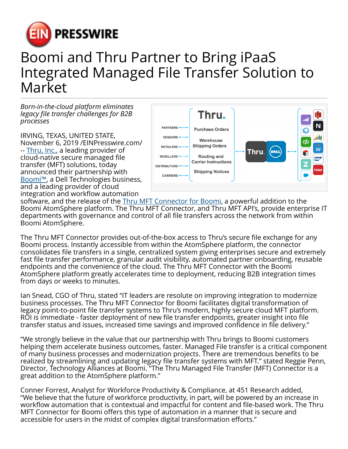

## Boomi and Thru Partner to Bring iPaaS Integrated Managed File Transfer Solution to Market

*Born-in-the-cloud platform eliminates legacy file transfer challenges for B2B processes*

IRVING, TEXAS, UNITED STATE, November 6, 2019 /[EINPresswire.com/](http://www.einpresswire.com) -- [Thru, Inc.,](https://www.thruinc.com/?utm_source=EIN&utm_medium=press-release&utm_campaign=dell-boomi-connector-launch&utm_content=home-page) a leading provider of cloud-native secure managed file transfer (MFT) solutions, today announced their partnership with [Boomi™,](https://protect-au.mimecast.com/s/zUlpCjZ1Lgu8O2xCRnx6j?domain=boomi.com) a Dell Technologies business, and a leading provider of cloud integration and workflow automation



software, and the release of the **[Thru MFT Connector for Boomi](https://www.thruinc.com/mft-connector-for-boomi/?utm_source=EIN&utm_medium=press-release&utm_campaign=dell-boomi-connector-launch&utm_content=mft-connector-for-boomi-page)**, a powerful addition to the Boomi AtomSphere platform. The Thru MFT Connector, and Thru MFT API's, provide enterprise IT departments with governance and control of all file transfers across the network from within Boomi AtomSphere.

The Thru MFT Connector provides out-of-the-box access to Thru's secure file exchange for any Boomi process. Instantly accessible from within the AtomSphere platform, the connector consolidates file transfers in a single, centralized system giving enterprises secure and extremely fast file transfer performance, granular audit visibility, automated partner onboarding, reusable endpoints and the convenience of the cloud. The Thru MFT Connector with the Boomi AtomSphere platform greatly accelerates time to deployment, reducing B2B integration times from days or weeks to minutes.

Ian Snead, CGO of Thru, stated "IT leaders are resolute on improving integration to modernize business processes. The Thru MFT Connector for Boomi facilitates digital transformation of legacy point-to-point file transfer systems to Thru's modern, highly secure cloud MFT platform. ROI is immediate - faster deployment of new file transfer endpoints, greater insight into file transfer status and issues, increased time savings and improved confidence in file delivery."

"We strongly believe in the value that our partnership with Thru brings to Boomi customers helping them accelerate business outcomes, faster. Managed File transfer is a critical component of many business processes and modernization projects. There are tremendous benefits to be realized by streamlining and updating legacy file transfer systems with MFT." stated Reggie Penn, Director, Technology Alliances at Boomi. "The Thru Managed File Transfer (MFT) Connector is a great addition to the AtomSphere platform."

Conner Forrest, Analyst for Workforce Productivity & Compliance, at 451 Research added, "We believe that the future of workforce productivity, in part, will be powered by an increase in workflow automation that is contextual and impactful for content and file-based work. The Thru MFT Connector for Boomi offers this type of automation in a manner that is secure and accessible for users in the midst of complex digital transformation efforts."